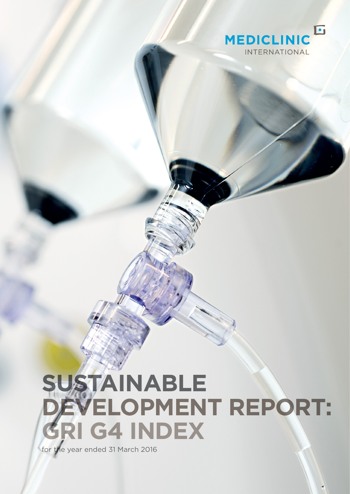

## **SUSTAINABLE DEVELOPMENT REPORT: GRI G4 INDEX** for the year ended 31 March 2016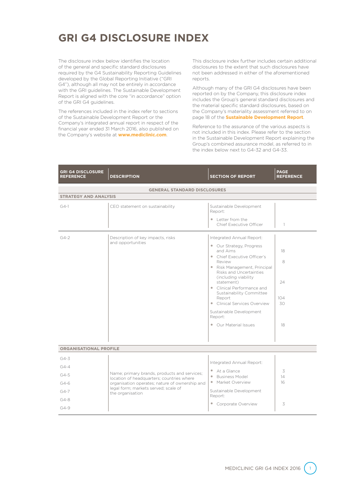## **GRI G4 DISCLOSURE INDEX**

The disclosure index below identifies the location of the general and specific standard disclosures required by the G4 Sustainability Reporting Guidelines developed by the Global Reporting Initiative ("GRI G4"), although all may not be entirely in accordance with the GRI guidelines. The Sustainable Development Report is aligned with the core "in accordance" option of the GRI G4 guidelines.

The references included in the index refer to sections of the Sustainable Development Report or the Company's integrated annual report in respect of the financial year ended 31 March 2016, also published on the Company's website at **www.mediclinic.com**.

This disclosure index further includes certain additional disclosures to the extent that such disclosures have not been addressed in either of the aforementioned reports.

Although many of the GRI G4 disclosures have been reported on by the Company, this disclosure index includes the Group's general standard disclosures and the material specific standard disclosures, based on the Company's materiality assessment referred to on page 18 of the **Sustainable Development Report**.

Reference to the assurance of the various aspects is not included in this index. Please refer to the section in the Sustainable Development Report explaining the Group's combined assurance model, as referred to in the index below next to G4-32 and G4-33.

| <b>GRI G4 DISCLOSURE</b><br><b>REFERENCE</b> | <b>DESCRIPTION</b>                                                                          | <b>SECTION OF REPORT</b>                                                                                                                                                                                                                                                                                                                                                        | <b>PAGE</b><br><b>REFERENCE</b>  |  |  |  |  |  |  |  |
|----------------------------------------------|---------------------------------------------------------------------------------------------|---------------------------------------------------------------------------------------------------------------------------------------------------------------------------------------------------------------------------------------------------------------------------------------------------------------------------------------------------------------------------------|----------------------------------|--|--|--|--|--|--|--|
| <b>GENERAL STANDARD DISCLOSURES</b>          |                                                                                             |                                                                                                                                                                                                                                                                                                                                                                                 |                                  |  |  |  |  |  |  |  |
| <b>STRATEGY AND ANALYSIS</b>                 |                                                                                             |                                                                                                                                                                                                                                                                                                                                                                                 |                                  |  |  |  |  |  |  |  |
| $G4-1$                                       | CEO statement on sustainability                                                             | Sustainable Development<br>Report:                                                                                                                                                                                                                                                                                                                                              |                                  |  |  |  |  |  |  |  |
|                                              |                                                                                             | $\bullet$ Letter from the<br>Chief Executive Officer                                                                                                                                                                                                                                                                                                                            | $\mathbf{1}$                     |  |  |  |  |  |  |  |
| $G4-2$                                       | Description of key impacts, risks<br>and opportunities                                      | Integrated Annual Report:<br>• Our Strategy, Progress<br>and Aims<br>• Chief Executive Officer's<br>Review<br>• Risk Management, Principal<br>Risks and Uncertainties<br>(including viability)<br>statement)<br>• Clinical Performance and<br>Sustainability Committee<br>Report<br>• Clinical Services Overview<br>Sustainable Development<br>Report:<br>• Our Material Issues | 18<br>8<br>24<br>104<br>30<br>18 |  |  |  |  |  |  |  |
| <b>ORGANISATIONAL PROFILE</b>                |                                                                                             |                                                                                                                                                                                                                                                                                                                                                                                 |                                  |  |  |  |  |  |  |  |
| $G4-3$                                       |                                                                                             |                                                                                                                                                                                                                                                                                                                                                                                 |                                  |  |  |  |  |  |  |  |
| $G4-4$                                       |                                                                                             | Integrated Annual Report:                                                                                                                                                                                                                                                                                                                                                       |                                  |  |  |  |  |  |  |  |
| $G4 - 5$                                     | Name; primary brands, products and services;                                                | $\bullet$ At a Glance<br>• Business Model                                                                                                                                                                                                                                                                                                                                       | 3<br>14                          |  |  |  |  |  |  |  |
| $G4-6$                                       | location of headquarters; countries where<br>organisation operates; nature of ownership and | • Market Overview                                                                                                                                                                                                                                                                                                                                                               | 16                               |  |  |  |  |  |  |  |
| $G4 - 7$                                     | legal form; markets served; scale of<br>the organisation                                    | Sustainable Development                                                                                                                                                                                                                                                                                                                                                         |                                  |  |  |  |  |  |  |  |
| $G4 - 8$                                     |                                                                                             | Report:                                                                                                                                                                                                                                                                                                                                                                         |                                  |  |  |  |  |  |  |  |
| $G4-9$                                       |                                                                                             | • Corporate Overview                                                                                                                                                                                                                                                                                                                                                            | 3                                |  |  |  |  |  |  |  |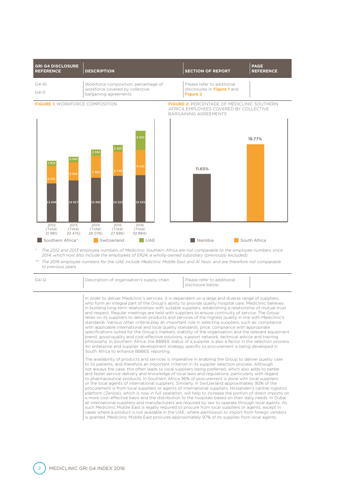| <b>GRI G4 DISCLOSURE</b><br><b>REFERENCE</b> | <b>DESCRIPTION</b>                                       | <b>SECTION OF REPORT</b>                       | <b>PAGE</b><br><b>REFERENCE</b> |
|----------------------------------------------|----------------------------------------------------------|------------------------------------------------|---------------------------------|
| $G4-10$                                      | Workforce composition; percentage of                     | Please refer to additional                     |                                 |
| $G4-11$                                      | workforce covered by collective<br>bargaining agreements | disclosures in Figure 1 and<br><b>Figure 2</b> |                                 |





*\* The 2012 and 2013 employee numbers of Mediclinic Southern Africa are not comparable to the employee numbers since 2014, which now also include the employees of ER24, a wholly-owned subsidiary (previously excluded).* 

*\*\* The 2016 employee numbers for the UAE include Mediclinic Middle East and Al Noor, and are therefore not comparable to previous years.*

| $G4-12$ | Description of organisation's supply chain                                                                                                                                                                                                                                                                                                                                                                                                                                                                                                                                                                                                                                                                                                                                                                                                                                                                                                                                                                                                                                                                                                                                                                                                                                                                                                                                                   | Please refer to additional<br>disclosure below. |  |  |  |
|---------|----------------------------------------------------------------------------------------------------------------------------------------------------------------------------------------------------------------------------------------------------------------------------------------------------------------------------------------------------------------------------------------------------------------------------------------------------------------------------------------------------------------------------------------------------------------------------------------------------------------------------------------------------------------------------------------------------------------------------------------------------------------------------------------------------------------------------------------------------------------------------------------------------------------------------------------------------------------------------------------------------------------------------------------------------------------------------------------------------------------------------------------------------------------------------------------------------------------------------------------------------------------------------------------------------------------------------------------------------------------------------------------------|-------------------------------------------------|--|--|--|
|         | In order to deliver Mediclinic's services, it is dependent on a large and diverse range of suppliers,<br>who form an integral part of the Group's ability to provide quality hospital care. Mediclinic believes<br>in building long-term relationships with suitable suppliers, establishing a relationship of mutual trust<br>and respect. Regular meetings are held with suppliers to ensure continuity of service. The Group<br>relies on its suppliers to deliver products and services of the highest quality in line with Mediclinic's<br>standards. Various other criteria play an important role in selecting suppliers, such as: compliance<br>with applicable international and local quality standards, price, compliance with appropriate<br>specifications suited for the Group's markets, stability of the organisation and the relevant equipment<br>brand, good-quality and cost-effective solutions, support network, technical advice and training<br>philosophy. In Southern Africa, the BBBEE status of a supplier is also a factor in the selection process.<br>An enterprise and supplier development strategy specific to procurement is being developed in<br>South Africa to enhance BBBEE reporting.                                                                                                                                                               |                                                 |  |  |  |
|         | The availability of products and services is imperative in enabling the Group to deliver quality care<br>to its patients, and therefore an important criterion in its supplier selection process. Although<br>not always the case, this often leads to local suppliers being preferred, which also adds to better<br>and faster service delivery and knowledge of local laws and regulations, particularly with regard<br>to pharmaceutical products. In Southern Africa 96% of procurement is done with local suppliers<br>or the local agents of international suppliers. Similarly, in Switzerland approximately 90% of the<br>procurement is from local suppliers or agents of international suppliers. Hirslanden's central logistics<br>platform (Zenlop), which is now in full operation, will help to increase the portion of direct imports on<br>a more cost-effective basis and the distribution to the hospitals based on their daily needs. In Dubai<br>all international suppliers and manufacturers are required by law to operate through local agents. As<br>such Mediclinic Middle East is legally required to procure from local suppliers or agents, except in<br>cases where a product is not available in the UAE, where permission to import from foreign vendors<br>is granted. Mediclinic Middle East procures approximately 97% of its supplies from local agents. |                                                 |  |  |  |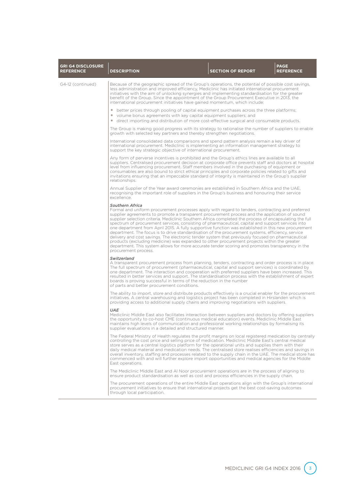| <b>GRI G4 DISCLOSURE</b><br><b>REFERENCE</b> | <b>DESCRIPTION</b>                                                                                                                                                                                                                                                                                                                                                                                                                                                                                                                                                                                                                                                                                                                                                                                                                                                                                                                                                                      | <b>SECTION OF REPORT</b> | <b>PAGE</b><br><b>REFERENCE</b> |
|----------------------------------------------|-----------------------------------------------------------------------------------------------------------------------------------------------------------------------------------------------------------------------------------------------------------------------------------------------------------------------------------------------------------------------------------------------------------------------------------------------------------------------------------------------------------------------------------------------------------------------------------------------------------------------------------------------------------------------------------------------------------------------------------------------------------------------------------------------------------------------------------------------------------------------------------------------------------------------------------------------------------------------------------------|--------------------------|---------------------------------|
| G4-12 (continued)                            | Because of the geographic spread of the Group's operations, the potential of possible cost savings,<br>less administration and improved efficiency, Mediclinic has initiated international procurement<br>initiatives with the aim of unlocking synergies and implementing standardisation for the greater<br>benefit of the Group. Since the appointment of the Group Procurement Executive in 2013, the<br>international procurement initiatives have gained momentum, which include:                                                                                                                                                                                                                                                                                                                                                                                                                                                                                                 |                          |                                 |
|                                              | • better prices through pooling of capital equipment purchases across the three platforms;<br>• volume bonus agreements with key capital equipment suppliers; and<br>• direct importing and distribution of more cost-effective surgical and consumable products.                                                                                                                                                                                                                                                                                                                                                                                                                                                                                                                                                                                                                                                                                                                       |                          |                                 |
|                                              | The Group is making good progress with its strategy to rationalise the number of suppliers to enable<br>growth with selected key partners and thereby strengthen negotiations.                                                                                                                                                                                                                                                                                                                                                                                                                                                                                                                                                                                                                                                                                                                                                                                                          |                          |                                 |
|                                              | International consolidated data comparisons and spend pattern analysis remain a key driver of<br>international procurement. Mediclinic is implementing an information management strategy to<br>support the key strategic objective of international procurement.                                                                                                                                                                                                                                                                                                                                                                                                                                                                                                                                                                                                                                                                                                                       |                          |                                 |
|                                              | Any form of perverse incentives is prohibited and the Group's ethics lines are available to all<br>suppliers. Centralised procurement decision at corporate office prevents staff and doctors at hospital<br>level from influencing procurement. Staff members involved in the purchasing of equipment or<br>consumables are also bound to strict ethical principles and corporate policies related to gifts and<br>invitations ensuring that an impeccable standard of integrity is maintained in the Group's supplier<br>relationships.                                                                                                                                                                                                                                                                                                                                                                                                                                               |                          |                                 |
|                                              | Annual Supplier of the Year award ceremonies are established in Southern Africa and the UAE,<br>recognising the important role of suppliers in the Group's business and honouring their service<br>excellence.                                                                                                                                                                                                                                                                                                                                                                                                                                                                                                                                                                                                                                                                                                                                                                          |                          |                                 |
|                                              | <b>Southern Africa</b><br>Formal and uniform procurement processes apply with regard to tenders, contracting and preferred<br>supplier agreements to promote a transparent procurement process and the application of sound<br>supplier selection criteria. Mediclinic Southern Africa completed the process of encapsulating the full<br>spectrum of procurement services, consisting of pharmaceutical, capital and support services into<br>one department from April 2015. A fully supportive function was established in this new procurement<br>department. The focus is to drive standardisation of the procurement systems, efficiency, service<br>delivery and cost savings. The electronic tender system that previously focused on pharmaceutical<br>products (excluding medicine) was expanded to other procurement projects within the greater<br>department. This system allows for more accurate tender scoring and promotes transparency in the<br>procurement process. |                          |                                 |
|                                              | Switzerland<br>A transparent procurement process from planning, tenders, contracting and order process is in place.<br>The full spectrum of procurement (pharmaceutical, capital and support services) is coordinated by<br>one department. The interaction and cooperation with preferred suppliers have been increased. This<br>resulted in better services and support. The standardisation process with the establishment of expert<br>boards is proving successful in terms of the reduction in the number<br>of parts and better procurement conditions.                                                                                                                                                                                                                                                                                                                                                                                                                          |                          |                                 |
|                                              | The ability to import, store and distribute products effectively is a crucial enabler for the procurement<br>initiatives. A central warehousing and logistics project has been completed in Hirslanden which is<br>providing access to additional supply chains and improving negotiations with suppliers.                                                                                                                                                                                                                                                                                                                                                                                                                                                                                                                                                                                                                                                                              |                          |                                 |
|                                              | <b>UAE</b><br>Mediclinic Middle East also facilitates interaction between suppliers and doctors by offering suppliers<br>the opportunity to co-host CME (continuous medical education) events. Mediclinic Middle East<br>maintains high levels of communication and professional working relationships by formalising its<br>supplier evaluations in a detailed and structured manner.                                                                                                                                                                                                                                                                                                                                                                                                                                                                                                                                                                                                  |                          |                                 |
|                                              | The Federal Ministry of Health regulates the profit margins on local registered medication by centrally<br>controlling the cost price and selling price of medication. Mediclinic Middle East's central medical<br>store serves as a central logistics platform for the operational units and supplies them with their<br>daily medical material and medication needs. The centralised store realises efficiencies and savings in<br>overall inventory, staffing and processes related to the supply chain in the UAE. The medical store has<br>commenced with and will further explore import opportunities and medical agencies for the Middle<br>East operations.                                                                                                                                                                                                                                                                                                                    |                          |                                 |
|                                              | The Mediclinic Middle East and Al Noor procurement operations are in the process of aligning to<br>ensure product standardisation as well as cost and process efficiencies in the supply chain.                                                                                                                                                                                                                                                                                                                                                                                                                                                                                                                                                                                                                                                                                                                                                                                         |                          |                                 |
|                                              | The procurement operations of the entire Middle East operations align with the Group's international<br>procurement initiatives to ensure that international projects get the best cost-saving outcomes<br>through local participation.                                                                                                                                                                                                                                                                                                                                                                                                                                                                                                                                                                                                                                                                                                                                                 |                          |                                 |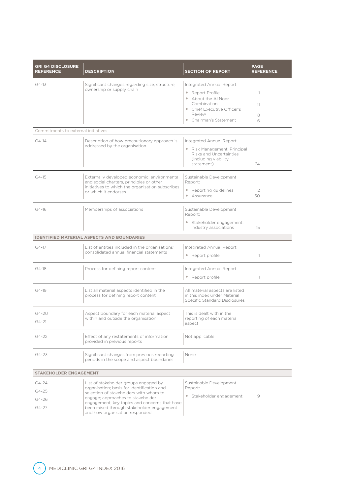| <b>GRI G4 DISCLOSURE</b><br><b>REFERENCE</b> | <b>DESCRIPTION</b>                                                                                                                                                                                                                                                                                  | <b>SECTION OF REPORT</b>                                                                                                                             | <b>PAGE</b><br><b>REFERENCE</b> |
|----------------------------------------------|-----------------------------------------------------------------------------------------------------------------------------------------------------------------------------------------------------------------------------------------------------------------------------------------------------|------------------------------------------------------------------------------------------------------------------------------------------------------|---------------------------------|
| $G4-13$                                      | Significant changes regarding size, structure,<br>ownership or supply chain                                                                                                                                                                                                                         | Integrated Annual Report:<br>Report Profile<br>• About the Al Noor<br>Combination<br>• Chief Executive Officer's<br>Review<br>• Chairman's Statement | $\overline{1}$<br>11<br>8<br>6  |
| Commitments to external initiatives          |                                                                                                                                                                                                                                                                                                     |                                                                                                                                                      |                                 |
| $G4-14$                                      | Description of how precautionary approach is<br>addressed by the organisation.                                                                                                                                                                                                                      | Integrated Annual Report:<br>Risk Management, Principal<br>Risks and Uncertainties<br>(including viability<br>statement)                             | 24                              |
| $G4-15$                                      | Externally developed economic, environmental<br>and social charters, principles or other<br>initiatives to which the organisation subscribes<br>or which it endorses                                                                                                                                | Sustainable Development<br>Report:<br>• Reporting guidelines<br>Assurance                                                                            | 2<br>50                         |
| $G4-16$                                      | Memberships of associations                                                                                                                                                                                                                                                                         | Sustainable Development<br>Report:<br>Stakeholder engagement:<br>$\bullet$<br>industry associations                                                  | 15                              |
|                                              | <b>IDENTIFIED MATERIAL ASPECTS AND BOUNDARIES</b>                                                                                                                                                                                                                                                   |                                                                                                                                                      |                                 |
| $G4-17$                                      | List of entities included in the organisations'<br>consolidated annual financial statements                                                                                                                                                                                                         | Integrated Annual Report:<br>• Report profile                                                                                                        | 1                               |
| $G4-18$                                      | Process for defining report content                                                                                                                                                                                                                                                                 | Integrated Annual Report:<br>• Report profile                                                                                                        | $\mathbb{1}$                    |
| $G4-19$                                      | List all material aspects identified in the<br>process for defining report content                                                                                                                                                                                                                  | All material aspects are listed<br>in this index under Material<br>Specific Standard Disclosures                                                     |                                 |
| G4-20<br>$G4 - 21$                           | Aspect boundary for each material aspect<br>within and outside the organisation                                                                                                                                                                                                                     | This is dealt with in the<br>reporting of each material<br>aspect                                                                                    |                                 |
| $G4-22$                                      | Effect of any restatements of information<br>provided in previous reports                                                                                                                                                                                                                           | Not applicable                                                                                                                                       |                                 |
| $G4 - 23$                                    | Significant changes from previous reporting<br>periods in the scope and aspect boundaries                                                                                                                                                                                                           | None                                                                                                                                                 |                                 |
| <b>STAKEHOLDER ENGAGEMENT</b>                |                                                                                                                                                                                                                                                                                                     |                                                                                                                                                      |                                 |
| $G4 - 24$<br>$G4 - 25$<br>$G4 - 26$<br>G4-27 | List of stakeholder groups engaged by<br>organisation; basis for identification and<br>selection of stakeholders with whom to<br>engage; approaches to stakeholder<br>engagement; key topics and concerns that have<br>been raised through stakeholder engagement<br>and how organisation responded | Sustainable Development<br>Report:<br>Stakeholder engagement                                                                                         | $\overline{9}$                  |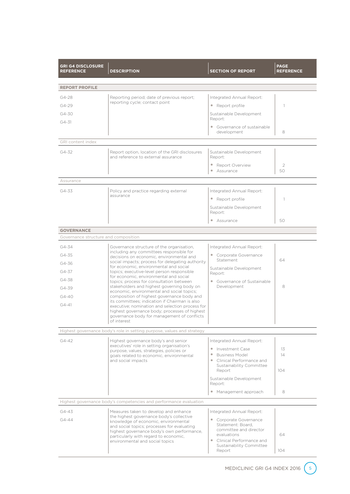| <b>GRI G4 DISCLOSURE</b><br><b>REFERENCE</b> | <b>DESCRIPTION</b>                                                                                                                              | <b>PAGE</b><br><b>REFERENCE</b>                                  |          |  |  |  |  |  |  |
|----------------------------------------------|-------------------------------------------------------------------------------------------------------------------------------------------------|------------------------------------------------------------------|----------|--|--|--|--|--|--|
| <b>REPORT PROFILE</b>                        |                                                                                                                                                 |                                                                  |          |  |  |  |  |  |  |
| G4-28                                        | Reporting period; date of previous report;                                                                                                      |                                                                  |          |  |  |  |  |  |  |
| $G4 - 29$                                    | reporting cycle; contact point                                                                                                                  | Integrated Annual Report:<br>• Report profile                    | 1        |  |  |  |  |  |  |
| G4-30                                        |                                                                                                                                                 | Sustainable Development                                          |          |  |  |  |  |  |  |
| $G4 - 31$                                    |                                                                                                                                                 | Report:                                                          |          |  |  |  |  |  |  |
|                                              |                                                                                                                                                 | • Governance of sustainable<br>development                       | 8        |  |  |  |  |  |  |
| GRI content index                            |                                                                                                                                                 |                                                                  |          |  |  |  |  |  |  |
| $G4 - 32$                                    | Report option, location of the GRI disclosures<br>and reference to external assurance                                                           | Sustainable Development<br>Report:                               |          |  |  |  |  |  |  |
|                                              |                                                                                                                                                 | $\bullet$<br>Report Overview<br>Assurance<br>$\circ$             | 2<br>50  |  |  |  |  |  |  |
| Assurance                                    |                                                                                                                                                 |                                                                  |          |  |  |  |  |  |  |
| G4-33                                        | Policy and practice regarding external                                                                                                          | Integrated Annual Report:                                        |          |  |  |  |  |  |  |
|                                              | assurance                                                                                                                                       | • Report profile                                                 |          |  |  |  |  |  |  |
|                                              |                                                                                                                                                 | Sustainable Development<br>Report:                               |          |  |  |  |  |  |  |
|                                              |                                                                                                                                                 | Assurance                                                        | 50       |  |  |  |  |  |  |
| <b>GOVERNANCE</b>                            |                                                                                                                                                 |                                                                  |          |  |  |  |  |  |  |
| Governance structure and composition         |                                                                                                                                                 |                                                                  |          |  |  |  |  |  |  |
| G4-34                                        | Governance structure of the organisation,<br>including any committees responsible for                                                           | Integrated Annual Report:                                        |          |  |  |  |  |  |  |
| G4-35                                        | decisions on economic, environmental and                                                                                                        | • Corporate Governance<br>Statement                              | 64       |  |  |  |  |  |  |
| G4-36                                        | social impacts; process for delegating authority<br>for economic, environmental and social                                                      | Sustainable Development                                          |          |  |  |  |  |  |  |
| G4-37                                        | topics; executive-level person responsible<br>for economic, environmental and social                                                            | Report:                                                          |          |  |  |  |  |  |  |
| G4-38                                        | topics; process for consultation between<br>stakeholders and highest governing body on                                                          | • Governance of Sustainable<br>Development                       | 8        |  |  |  |  |  |  |
| G4-39                                        | economic, environmental and social topics;                                                                                                      |                                                                  |          |  |  |  |  |  |  |
| $G4 - 40$                                    | composition of highest governance body and<br>its committees: indication if Chairman is also                                                    |                                                                  |          |  |  |  |  |  |  |
| $G4 - 41$                                    | executive; nomination and selection process for<br>highest governance body; processes of highest<br>governance body for management of conflicts |                                                                  |          |  |  |  |  |  |  |
|                                              | of interest                                                                                                                                     |                                                                  |          |  |  |  |  |  |  |
|                                              | Highest governance body's role in setting purpose, values and strategy                                                                          |                                                                  |          |  |  |  |  |  |  |
| $G4 - 42$                                    | Highest governance body's and senior<br>executives' role in setting organisation's                                                              | Integrated Annual Report:                                        |          |  |  |  |  |  |  |
|                                              | purpose, values, strategies, policies or<br>goals related to economic, environmental                                                            | $\bullet$<br>Investment Case<br><b>Business Model</b><br>$\circ$ | 13<br>14 |  |  |  |  |  |  |
|                                              | and social impacts                                                                                                                              | Clinical Performance and                                         |          |  |  |  |  |  |  |
|                                              |                                                                                                                                                 | Sustainability Committee<br>Report                               | 104      |  |  |  |  |  |  |
|                                              |                                                                                                                                                 | Sustainable Development<br>Report:                               |          |  |  |  |  |  |  |
|                                              |                                                                                                                                                 | • Management approach                                            | 8        |  |  |  |  |  |  |
|                                              | Highest governance body's competencies and performance evaluation                                                                               |                                                                  |          |  |  |  |  |  |  |
| $G4 - 43$                                    | Measures taken to develop and enhance                                                                                                           | Integrated Annual Report:                                        |          |  |  |  |  |  |  |
| $G4 - 44$                                    | the highest governance body's collective<br>knowledge of economic, environmental                                                                | • Corporate Governance                                           |          |  |  |  |  |  |  |
|                                              | and social topics; processes for evaluating                                                                                                     | Statement: Board,<br>committee and director                      |          |  |  |  |  |  |  |
|                                              | highest governance body's own performance,<br>particularly with regard to economic,                                                             | evaluations                                                      | 64       |  |  |  |  |  |  |
|                                              | environmental and social topics                                                                                                                 | • Clinical Performance and<br>Sustainability Committee           |          |  |  |  |  |  |  |
|                                              |                                                                                                                                                 | Report                                                           | 104      |  |  |  |  |  |  |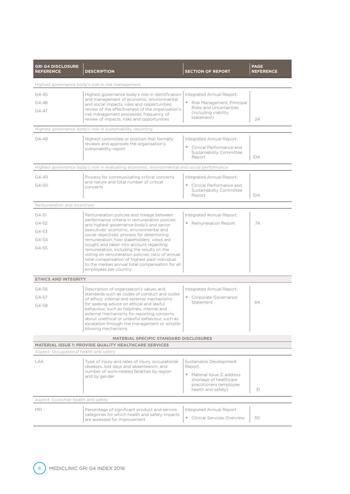| <b>GRI G4 DISCLOSURE</b><br><b>REFERENCE</b>                                                                                                                                                                                            | <b>DESCRIPTION</b>                                                                                                                                                                                                                                                                                                                                                                                                                                                                                                                                                                                                                                                                                                                                                                                                                        | <b>SECTION OF REPORT</b>                                                                                                                     | <b>PAGE</b><br><b>REFERENCE</b> |  |  |  |  |  |
|-----------------------------------------------------------------------------------------------------------------------------------------------------------------------------------------------------------------------------------------|-------------------------------------------------------------------------------------------------------------------------------------------------------------------------------------------------------------------------------------------------------------------------------------------------------------------------------------------------------------------------------------------------------------------------------------------------------------------------------------------------------------------------------------------------------------------------------------------------------------------------------------------------------------------------------------------------------------------------------------------------------------------------------------------------------------------------------------------|----------------------------------------------------------------------------------------------------------------------------------------------|---------------------------------|--|--|--|--|--|
| Highest governance body's role in risk management                                                                                                                                                                                       |                                                                                                                                                                                                                                                                                                                                                                                                                                                                                                                                                                                                                                                                                                                                                                                                                                           |                                                                                                                                              |                                 |  |  |  |  |  |
| $G4 - 45$<br>$G4 - 46$<br>$G4 - 47$                                                                                                                                                                                                     | Highest governance body's role in identification<br>and management of economic, environmental<br>and social impacts, risks and opportunities;<br>review of the effectiveness of the organisation's<br>risk management processes; frequency of<br>review of impacts, risks and opportunities                                                                                                                                                                                                                                                                                                                                                                                                                                                                                                                                               | Integrated Annual Report:<br>• Risk Management, Principal<br>Risks and Uncertainties<br>(including viability)<br>statement)                  | 24                              |  |  |  |  |  |
|                                                                                                                                                                                                                                         | Highest governance body's role in sustainability reporting                                                                                                                                                                                                                                                                                                                                                                                                                                                                                                                                                                                                                                                                                                                                                                                |                                                                                                                                              |                                 |  |  |  |  |  |
| $G4 - 48$                                                                                                                                                                                                                               | Highest committee or position that formally<br>reviews and approves the organisation's<br>sustainability report                                                                                                                                                                                                                                                                                                                                                                                                                                                                                                                                                                                                                                                                                                                           | Integrated Annual Report:<br>• Clinical Performance and<br>Sustainability Committee<br>Report                                                | 104                             |  |  |  |  |  |
|                                                                                                                                                                                                                                         | Highest governance body's role in evaluating economic, environmental and social performance                                                                                                                                                                                                                                                                                                                                                                                                                                                                                                                                                                                                                                                                                                                                               |                                                                                                                                              |                                 |  |  |  |  |  |
| G4-49<br>G4-50                                                                                                                                                                                                                          | Process for communicating critical concerns<br>and nature and total number of critical<br>concerns                                                                                                                                                                                                                                                                                                                                                                                                                                                                                                                                                                                                                                                                                                                                        | Integrated Annual Report:<br>• Clinical Performance and<br>Sustainability Committee<br>Report                                                | 104                             |  |  |  |  |  |
| Remuneration and incentives                                                                                                                                                                                                             |                                                                                                                                                                                                                                                                                                                                                                                                                                                                                                                                                                                                                                                                                                                                                                                                                                           |                                                                                                                                              |                                 |  |  |  |  |  |
| $G4 - 51$<br>$G4 - 52$<br>G4-53<br>G4-54<br>$G4 - 55$<br><b>ETHICS AND INTEGRITY</b><br>G4-56<br>$G4 - 57$<br>G4-58                                                                                                                     | Remuneration policies and linkage between<br>performance criteria in remuneration policies<br>and highest governance body's and senior<br>executives' economic, environmental and<br>social objectives; process for determining<br>remuneration; how stakeholders' views are<br>sought and taken into account regarding<br>remuneration, including the results on the<br>voting on remuneration policies; ratio of annual<br>total compensation of highest paid individual<br>to the median annual total compensation for all<br>employees per country<br>Description of organisation's values and<br>standards such as codes of conduct and codes<br>of ethics: internal and external mechanisms<br>for seeking advice on ethical and lawful<br>behaviour, such as helplines; internal and<br>external mechanisms for reporting concerns | Integrated Annual Report:<br>• Remuneration Report<br>Integrated Annual Report:<br>• Corporate Governance<br>Statement                       | 74<br>64                        |  |  |  |  |  |
| about unethical or unlawful behaviour, such as<br>escalation through line management or whistle-<br>blowing mechanisms<br><b>MATERIAL SPECIFIC STANDARD DISCLOSURES</b><br><b>MATERIAL ISSUE 1: PROVIDE QUALITY HEALTHCARE SERVICES</b> |                                                                                                                                                                                                                                                                                                                                                                                                                                                                                                                                                                                                                                                                                                                                                                                                                                           |                                                                                                                                              |                                 |  |  |  |  |  |
| Aspect: Occupational health and safety<br>LA6                                                                                                                                                                                           | Type of injury and rates of injury, occupational                                                                                                                                                                                                                                                                                                                                                                                                                                                                                                                                                                                                                                                                                                                                                                                          |                                                                                                                                              |                                 |  |  |  |  |  |
|                                                                                                                                                                                                                                         | diseases, lost days and absenteeism, and<br>number of work-related fatalities by region<br>and by gender                                                                                                                                                                                                                                                                                                                                                                                                                                                                                                                                                                                                                                                                                                                                  | Sustainable Development<br>Report:<br>• Material Issue 2: address<br>shortage of healthcare<br>practitioners (employee<br>health and safety) | 31                              |  |  |  |  |  |
| Aspect: Customer health and safety                                                                                                                                                                                                      |                                                                                                                                                                                                                                                                                                                                                                                                                                                                                                                                                                                                                                                                                                                                                                                                                                           |                                                                                                                                              |                                 |  |  |  |  |  |
| PR1                                                                                                                                                                                                                                     | Percentage of significant product and service<br>categories for which health and safety impacts<br>are assessed for improvement                                                                                                                                                                                                                                                                                                                                                                                                                                                                                                                                                                                                                                                                                                           | Integrated Annual Report<br>• Clinical Services Overview                                                                                     | 30                              |  |  |  |  |  |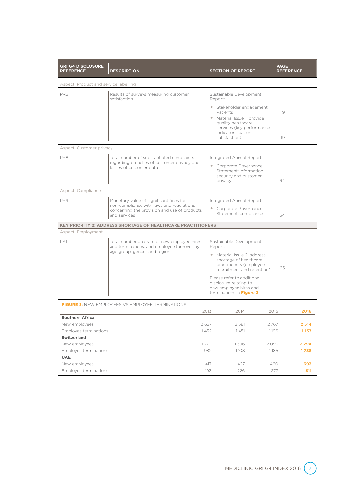| <b>GRI G4 DISCLOSURE</b><br><b>REFERENCE</b>                                                                                                               | <b>DESCRIPTION</b>                                                                                                |                                                                                                                | <b>SECTION OF REPORT</b>                                                                                               |              | <b>PAGE</b><br><b>REFERENCE</b> |                   |  |  |
|------------------------------------------------------------------------------------------------------------------------------------------------------------|-------------------------------------------------------------------------------------------------------------------|----------------------------------------------------------------------------------------------------------------|------------------------------------------------------------------------------------------------------------------------|--------------|---------------------------------|-------------------|--|--|
| Aspect: Product and service labelling                                                                                                                      |                                                                                                                   |                                                                                                                |                                                                                                                        |              |                                 |                   |  |  |
| PR <sub>5</sub>                                                                                                                                            | Results of surveys measuring customer<br>satisfaction                                                             | Sustainable Development<br>Report:                                                                             |                                                                                                                        |              |                                 |                   |  |  |
|                                                                                                                                                            |                                                                                                                   |                                                                                                                | · Stakeholder engagement:<br>Patients                                                                                  |              | 9                               |                   |  |  |
|                                                                                                                                                            |                                                                                                                   |                                                                                                                | • Material Issue 1: provide<br>quality healthcare<br>services (key performance<br>indicators: patient<br>satisfaction) |              | 19                              |                   |  |  |
| Aspect: Customer privacy                                                                                                                                   |                                                                                                                   |                                                                                                                |                                                                                                                        |              |                                 |                   |  |  |
| PR8                                                                                                                                                        | Total number of substantiated complaints<br>regarding breaches of customer privacy and<br>losses of customer data |                                                                                                                | Integrated Annual Report:<br>• Corporate Governance<br>Statement: information<br>security and customer<br>privacy      |              | 64                              |                   |  |  |
| Aspect: Compliance                                                                                                                                         |                                                                                                                   |                                                                                                                |                                                                                                                        |              |                                 |                   |  |  |
| PR9<br>Monetary value of significant fines for<br>non-compliance with laws and regulations<br>concerning the provision and use of products<br>and services |                                                                                                                   |                                                                                                                | Integrated Annual Report:<br>• Corporate Governance<br>Statement: compliance<br>64                                     |              |                                 |                   |  |  |
|                                                                                                                                                            | <b>KEY PRIORITY 2: ADDRESS SHORTAGE OF HEALTHCARE PRACTITIONERS</b>                                               |                                                                                                                |                                                                                                                        |              |                                 |                   |  |  |
| Aspect: Employment                                                                                                                                         |                                                                                                                   |                                                                                                                |                                                                                                                        |              |                                 |                   |  |  |
| LA1                                                                                                                                                        | Total number and rate of new employee hires<br>and terminations, and employee turnover by                         |                                                                                                                | Sustainable Development<br>Report:                                                                                     |              |                                 |                   |  |  |
|                                                                                                                                                            | age group, gender and region                                                                                      | • Material Issue 2: address<br>shortage of healthcare<br>practitioners (employee<br>recruitment and retention) |                                                                                                                        |              | 25                              |                   |  |  |
|                                                                                                                                                            |                                                                                                                   |                                                                                                                | Please refer to additional<br>disclosure relating to<br>new employee hires and<br>terminations in Figure 3             |              |                                 |                   |  |  |
|                                                                                                                                                            | <b>FIGURE 3: NEW EMPLOYEES VS EMPLOYEE TERMINATIONS</b>                                                           |                                                                                                                |                                                                                                                        |              |                                 |                   |  |  |
|                                                                                                                                                            |                                                                                                                   | 2013                                                                                                           | 2014                                                                                                                   | 2015         |                                 | 2016              |  |  |
| <b>Southern Africa</b>                                                                                                                                     |                                                                                                                   | 2657                                                                                                           |                                                                                                                        |              |                                 |                   |  |  |
| New employees<br>Employee terminations                                                                                                                     |                                                                                                                   |                                                                                                                | 2681<br>1451                                                                                                           | 2767<br>1196 |                                 | 2 5 14<br>1 1 3 7 |  |  |
| <b>Switzerland</b>                                                                                                                                         |                                                                                                                   | 1452                                                                                                           |                                                                                                                        |              |                                 |                   |  |  |
| New employees                                                                                                                                              |                                                                                                                   | 1270                                                                                                           | 1596                                                                                                                   | 2093         |                                 | 2 2 9 4           |  |  |
| Employee terminations                                                                                                                                      |                                                                                                                   | 982                                                                                                            | 1108                                                                                                                   | 1185         |                                 | 1788              |  |  |
| <b>UAE</b>                                                                                                                                                 |                                                                                                                   |                                                                                                                |                                                                                                                        |              |                                 |                   |  |  |
| New employees                                                                                                                                              |                                                                                                                   | 417                                                                                                            | 427                                                                                                                    | 460          |                                 | 393               |  |  |
| Employee terminations                                                                                                                                      |                                                                                                                   | 193                                                                                                            | 226                                                                                                                    |              | 277                             | 311               |  |  |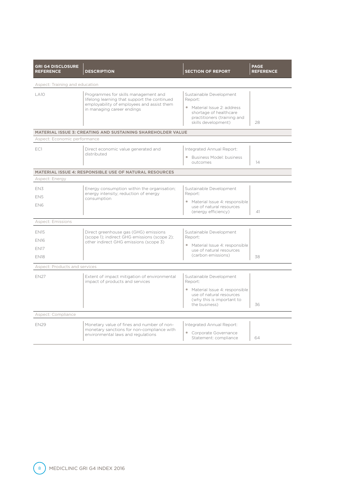| <b>GRI G4 DISCLOSURE</b><br><b>REFERENCE</b> | <b>DESCRIPTION</b>                                                                     | <b>SECTION OF REPORT</b>                                                                                    | <b>PAGE</b><br><b>REFERENCE</b> |  |  |  |  |  |  |  |
|----------------------------------------------|----------------------------------------------------------------------------------------|-------------------------------------------------------------------------------------------------------------|---------------------------------|--|--|--|--|--|--|--|
| Aspect: Training and education               |                                                                                        |                                                                                                             |                                 |  |  |  |  |  |  |  |
| $\overline{A}$ 10                            | Programmes for skills management and<br>lifelong learning that support the continued   | Sustainable Development<br>Report:                                                                          |                                 |  |  |  |  |  |  |  |
|                                              | employability of employees and assist them<br>in managing career endings               | • Material Issue 2: address<br>shortage of healthcare<br>practitioners (training and<br>skills development) | 28                              |  |  |  |  |  |  |  |
|                                              | <b>MATERIAL ISSUE 3: CREATING AND SUSTAINING SHAREHOLDER VALUE</b>                     |                                                                                                             |                                 |  |  |  |  |  |  |  |
| Aspect: Economic performance                 |                                                                                        |                                                                                                             |                                 |  |  |  |  |  |  |  |
| EC1                                          | Direct economic value generated and                                                    | Integrated Annual Report:                                                                                   |                                 |  |  |  |  |  |  |  |
|                                              | distributed                                                                            | • Business Model: business<br>outcomes                                                                      | 14                              |  |  |  |  |  |  |  |
|                                              | <b>MATERIAL ISSUE 4: RESPONSIBLE USE OF NATURAL RESOURCES</b>                          |                                                                                                             |                                 |  |  |  |  |  |  |  |
| Aspect: Energy                               |                                                                                        |                                                                                                             |                                 |  |  |  |  |  |  |  |
| EN3                                          | Energy consumption within the organisation;                                            | Sustainable Development                                                                                     |                                 |  |  |  |  |  |  |  |
| FN <sub>5</sub>                              | energy intensity; reduction of energy<br>consumption                                   | Report:                                                                                                     |                                 |  |  |  |  |  |  |  |
| EN6                                          |                                                                                        | • Material Issue 4: responsible<br>use of natural resources<br>(energy efficiency)                          | 41                              |  |  |  |  |  |  |  |
| <b>Aspect: Emissions</b>                     |                                                                                        |                                                                                                             |                                 |  |  |  |  |  |  |  |
| <b>EN15</b>                                  | Direct greenhouse gas (GHG) emissions                                                  | Sustainable Development                                                                                     |                                 |  |  |  |  |  |  |  |
| <b>EN16</b>                                  | (scope 1); indirect GHG emissions (scope 2);<br>other indirect GHG emissions (scope 3) | Report:                                                                                                     |                                 |  |  |  |  |  |  |  |
| <b>FN17</b>                                  |                                                                                        | • Material Issue 4: responsible<br>use of natural resources                                                 |                                 |  |  |  |  |  |  |  |
| <b>FN18</b>                                  |                                                                                        | (carbon emissions)                                                                                          | 38                              |  |  |  |  |  |  |  |
| Aspect: Products and services                |                                                                                        |                                                                                                             |                                 |  |  |  |  |  |  |  |
| <b>FN27</b>                                  | Extent of impact mitigation of environmental<br>impact of products and services        | Sustainable Development<br>Report:                                                                          |                                 |  |  |  |  |  |  |  |
|                                              |                                                                                        | · Material Issue 4: responsible<br>use of natural resources<br>(why this is important to                    |                                 |  |  |  |  |  |  |  |
|                                              |                                                                                        | the business)                                                                                               | 36                              |  |  |  |  |  |  |  |
| Aspect: Compliance                           |                                                                                        |                                                                                                             |                                 |  |  |  |  |  |  |  |
| <b>EN29</b>                                  | Monetary value of fines and number of non-                                             | Integrated Annual Report:                                                                                   |                                 |  |  |  |  |  |  |  |
|                                              | monetary sanctions for non-compliance with<br>environmental laws and regulations       | • Corporate Governance<br>Statement: compliance                                                             | 64                              |  |  |  |  |  |  |  |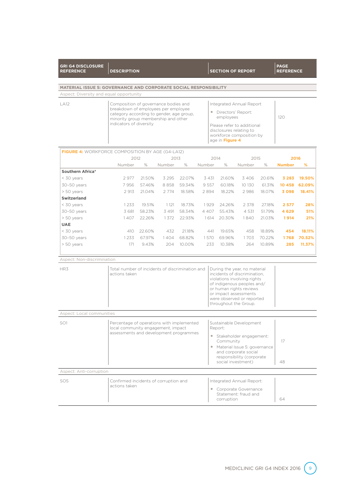| <b>REFERENCE</b>                                                        | <b>DESCRIPTION</b>                                               |                                                                                                                                                           |         |        |         |                 | <b>SECTION OF REPORT</b>                                                          |        | <b>REFERENCE</b> |                     |
|-------------------------------------------------------------------------|------------------------------------------------------------------|-----------------------------------------------------------------------------------------------------------------------------------------------------------|---------|--------|---------|-----------------|-----------------------------------------------------------------------------------|--------|------------------|---------------------|
|                                                                         |                                                                  |                                                                                                                                                           |         |        |         |                 |                                                                                   |        |                  |                     |
| <b>MATERIAL ISSUE 5: GOVERNANCE AND CORPORATE SOCIAL RESPONSIBILITY</b> |                                                                  |                                                                                                                                                           |         |        |         |                 |                                                                                   |        |                  |                     |
| Aspect: Diversity and equal opportunity                                 |                                                                  |                                                                                                                                                           |         |        |         |                 |                                                                                   |        |                  |                     |
| <b>LA12</b>                                                             | Composition of governance bodies and<br>Integrated Annual Report |                                                                                                                                                           |         |        |         |                 |                                                                                   |        |                  |                     |
|                                                                         |                                                                  | breakdown of employees per employee<br>Directors' Report:<br>category according to gender, age group,<br>employees<br>minority group membership and other |         |        |         |                 | 120                                                                               |        |                  |                     |
|                                                                         | indicators of diversity                                          |                                                                                                                                                           |         |        |         | age in Figure 4 | Please refer to additional<br>disclosures relating to<br>workforce composition by |        |                  |                     |
| <b>FIGURE 4:</b> WORKFORCE COMPOSITION BY AGE (G4-LA12)                 |                                                                  |                                                                                                                                                           |         |        |         |                 |                                                                                   |        |                  |                     |
|                                                                         | 2012                                                             |                                                                                                                                                           | 2013    |        |         | 2014            | 2015                                                                              |        | 2016             |                     |
|                                                                         | Number                                                           | $\%$                                                                                                                                                      | Number  | $\%$   | Number  | $\%$            | Number                                                                            | $\%$   | <b>Number</b>    | %                   |
| Southern Africa*                                                        |                                                                  |                                                                                                                                                           |         |        |         |                 |                                                                                   |        |                  |                     |
| < 30 years                                                              | 2977                                                             | 21.50%                                                                                                                                                    | 3 2 9 5 | 22.07% | 3 4 3 1 | 21.60%          | 3406                                                                              | 20.61% | 3 2 8 3          | 19.50%              |
| 30-50 years                                                             | 7956                                                             | 57.46%                                                                                                                                                    | 8858    | 59.34% | 9 5 5 7 | 60.18%          | 10 130                                                                            | 61.31% | 10 458           | 62.09%              |
| $50 \text{ N}$                                                          | 2.017                                                            | 210106                                                                                                                                                    | 2 77 A  | 18 58% | 2.89A   | 19.220          | 2.986                                                                             | 18 07% |                  | <b>Z 008 18 41%</b> |

| 30-50 years  | 7956  | 57.46% | 8858    | 59.34% | 9 5 5 7 | 60.18% | 10 130  | 61.31% | 10 458  | 62.09% |
|--------------|-------|--------|---------|--------|---------|--------|---------|--------|---------|--------|
| $> 50$ years | 2 913 | 21.04% | 2 7 7 4 | 18.58% | 2894    | 18.22% | 2986    | 18.07% | 3098    | 18.41% |
| Switzerland  |       |        |         |        |         |        |         |        |         |        |
| < 30 years   | 1233  | 19.51% | 1 1 2 1 | 18.73% | 929     | 24.26% | 2 3 7 8 | 27.18% | 2 577   | 28%    |
| 30-50 years  | 3 681 | 58.23% | 3 4 9 1 | 58.34% | 4 4 0 7 | 55.43% | 4 5 3 1 | 51.79% | 4 6 2 9 | 51%    |
| > 50 years   | 1407  | 22.26% | 1372    | 22.93% | 614     | 20.30% | 840     | 21.03% | 1914    | 21%    |
| <b>UAE</b>   |       |        |         |        |         |        |         |        |         |        |
| < 30 years   | 410   | 22.60% | 432     | 21.18% | 441     | 19.65% | 458     | 18.89% | 454     | 18.11% |
| 30-50 years  | 1233  | 67.97% | 404     | 68.82% | 570     | 69.96% | 1703    | 70.22% | 1768    | 70.52% |
| $> 50$ years | 171   | 9.43%  | 204     | 10.00% | 233     | 10.38% | 264     | 10.89% | 285     | 11.37% |
|              |       |        |         |        |         |        |         |        |         |        |

## Aspect: Non-discrimination

**GRI G4 DISCLOSURE** 

| HR3                       | Total number of incidents of discrimination and<br>actions taken                                                          | During the year, no material<br>incidents of discrimination.<br>violations involving rights<br>of indigenous peoples and/<br>or human rights reviews<br>or impact assessments<br>were observed or reported<br>throughout the Group. |          |
|---------------------------|---------------------------------------------------------------------------------------------------------------------------|-------------------------------------------------------------------------------------------------------------------------------------------------------------------------------------------------------------------------------------|----------|
| Aspect: Local communities |                                                                                                                           |                                                                                                                                                                                                                                     |          |
| SO <sub>1</sub>           | Percentage of operations with implemented<br>local community engagement, impact<br>assessments and development programmes | Sustainable Development<br>Report:<br>Stakeholder engagement:<br>$\bullet$<br>Community<br>Material Issue 5: governance<br>$\bullet$<br>and corporate social<br>responsibility (corporate<br>social investment)                     | 17<br>48 |
| Aspect: Anti-corruption   |                                                                                                                           |                                                                                                                                                                                                                                     |          |
| SO <sub>5</sub>           | Confirmed incidents of corruption and<br>actions taken                                                                    | Integrated Annual Report:<br>Corporate Governance<br>$\circ$<br>Statement: fraud and<br>corruption                                                                                                                                  | 64       |

**PAGE**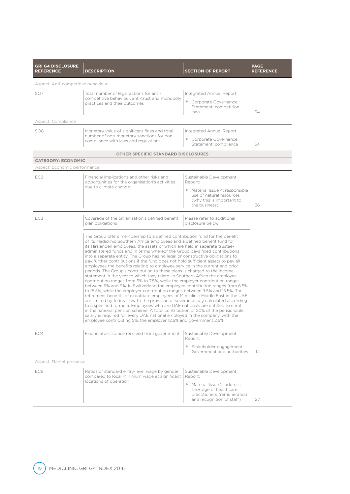| <b>GRI G4 DISCLOSURE</b><br><b>REFERENCE</b> | <b>DESCRIPTION</b>                                                                                                                                                                                                                                                                                                                                                                                                                                                                                                                                                                                                                                                                                                                                                                                                                                                                                                                                                                                                                                                                                                                                                                                                                                                                                                                                                                                                                                                                    | <b>SECTION OF REPORT</b>                                                                                                                                | <b>PAGE</b><br><b>REFERENCE</b> |  |
|----------------------------------------------|---------------------------------------------------------------------------------------------------------------------------------------------------------------------------------------------------------------------------------------------------------------------------------------------------------------------------------------------------------------------------------------------------------------------------------------------------------------------------------------------------------------------------------------------------------------------------------------------------------------------------------------------------------------------------------------------------------------------------------------------------------------------------------------------------------------------------------------------------------------------------------------------------------------------------------------------------------------------------------------------------------------------------------------------------------------------------------------------------------------------------------------------------------------------------------------------------------------------------------------------------------------------------------------------------------------------------------------------------------------------------------------------------------------------------------------------------------------------------------------|---------------------------------------------------------------------------------------------------------------------------------------------------------|---------------------------------|--|
| Aspect: Anti-competitive behaviour           |                                                                                                                                                                                                                                                                                                                                                                                                                                                                                                                                                                                                                                                                                                                                                                                                                                                                                                                                                                                                                                                                                                                                                                                                                                                                                                                                                                                                                                                                                       |                                                                                                                                                         |                                 |  |
| SO <sub>7</sub>                              | Total number of legal actions for anti-<br>Integrated Annual Report:<br>competitive behaviour, anti-trust and monopoly<br>• Corporate Governance<br>practices and their outcomes<br>Statement: competition<br>laws                                                                                                                                                                                                                                                                                                                                                                                                                                                                                                                                                                                                                                                                                                                                                                                                                                                                                                                                                                                                                                                                                                                                                                                                                                                                    |                                                                                                                                                         | 64                              |  |
| Aspect: Compliance                           |                                                                                                                                                                                                                                                                                                                                                                                                                                                                                                                                                                                                                                                                                                                                                                                                                                                                                                                                                                                                                                                                                                                                                                                                                                                                                                                                                                                                                                                                                       |                                                                                                                                                         |                                 |  |
| SO <sub>8</sub>                              | Monetary value of significant fines and total<br>number of non-monetary sanctions for non-<br>compliance with laws and regulations                                                                                                                                                                                                                                                                                                                                                                                                                                                                                                                                                                                                                                                                                                                                                                                                                                                                                                                                                                                                                                                                                                                                                                                                                                                                                                                                                    | 64                                                                                                                                                      |                                 |  |
|                                              | <b>OTHER SPECIFIC STANDARD DISCLOSURES</b>                                                                                                                                                                                                                                                                                                                                                                                                                                                                                                                                                                                                                                                                                                                                                                                                                                                                                                                                                                                                                                                                                                                                                                                                                                                                                                                                                                                                                                            |                                                                                                                                                         |                                 |  |
| <b>CATEGORY: ECONOMIC</b>                    |                                                                                                                                                                                                                                                                                                                                                                                                                                                                                                                                                                                                                                                                                                                                                                                                                                                                                                                                                                                                                                                                                                                                                                                                                                                                                                                                                                                                                                                                                       |                                                                                                                                                         |                                 |  |
| Aspect: Economic performance                 |                                                                                                                                                                                                                                                                                                                                                                                                                                                                                                                                                                                                                                                                                                                                                                                                                                                                                                                                                                                                                                                                                                                                                                                                                                                                                                                                                                                                                                                                                       |                                                                                                                                                         |                                 |  |
| EC <sub>2</sub>                              | Financial implications and other risks and<br>opportunities for the organisation's activities<br>due to climate change                                                                                                                                                                                                                                                                                                                                                                                                                                                                                                                                                                                                                                                                                                                                                                                                                                                                                                                                                                                                                                                                                                                                                                                                                                                                                                                                                                | Sustainable Development<br>Report:<br>• Material Issue 4: responsible<br>use of natural resources<br>(why this is important to<br>the business)         | 36                              |  |
| EC <sub>3</sub>                              | Coverage of the organisation's defined benefit<br>plan obligations                                                                                                                                                                                                                                                                                                                                                                                                                                                                                                                                                                                                                                                                                                                                                                                                                                                                                                                                                                                                                                                                                                                                                                                                                                                                                                                                                                                                                    | Please refer to additional<br>disclosure below                                                                                                          |                                 |  |
|                                              | The Group offers membership to a defined contribution fund for the benefit<br>of its Mediclinic Southern Africa employees and a defined benefit fund for<br>its Hirslanden employees, the assets of which are held in separate trustee-<br>administered funds and in terms whereof the Group pays fixed contributions<br>into a separate entity. The Group has no legal or constructive obligations to<br>pay further contributions if the fund does not hold sufficient assets to pay all<br>employees the benefits relating to employee service in the current and prior<br>periods. The Group's contribution to these plans is charged to the income<br>statement in the year to which they relate. In Southern Africa the employee<br>contribution ranges from 5% to 7.5%, while the employer contribution ranges<br>between 6% and 9%. In Switzerland the employee contribution ranges from 6.5%<br>to 15.5%, while the employer contribution ranges between 9.5% and 15.5%. The<br>retirement benefits of expatriate employees of Mediclinic Middle East in the UAE<br>are limited by federal law to the provision of severance pay calculated according<br>to a specified formula. Employees who are UAE nationals are entitled to enrol<br>in the national pension scheme. A total contribution of 20% of the pensionable<br>salary is required for every UAE national employed in the company, with the<br>employee contributing 5%, the employer 12.5% and government 2.5%. |                                                                                                                                                         |                                 |  |
| EC4                                          | Financial assistance received from government                                                                                                                                                                                                                                                                                                                                                                                                                                                                                                                                                                                                                                                                                                                                                                                                                                                                                                                                                                                                                                                                                                                                                                                                                                                                                                                                                                                                                                         | Sustainable Development<br>Report:<br>Stakeholder engagement:<br>$\circ$<br>Government and authorities                                                  | 14                              |  |
| Aspect: Market presence                      |                                                                                                                                                                                                                                                                                                                                                                                                                                                                                                                                                                                                                                                                                                                                                                                                                                                                                                                                                                                                                                                                                                                                                                                                                                                                                                                                                                                                                                                                                       |                                                                                                                                                         |                                 |  |
| EC <sub>5</sub>                              | Ratios of standard entry-level wage by gender<br>compared to local minimum wage at significant<br>locations of operation                                                                                                                                                                                                                                                                                                                                                                                                                                                                                                                                                                                                                                                                                                                                                                                                                                                                                                                                                                                                                                                                                                                                                                                                                                                                                                                                                              | Sustainable Development<br>Report:<br>• Material Issue 2: address<br>shortage of healthcare<br>practitioners (remuneration<br>and recognition of staff) | 27                              |  |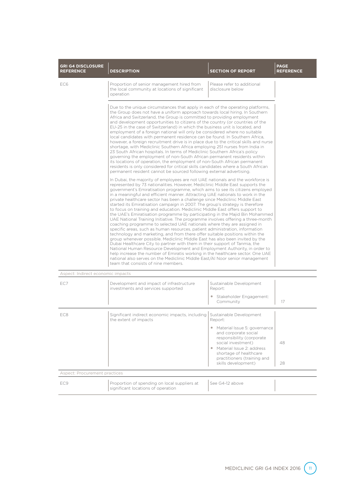| <b>GRI G4 DISCLOSURE</b><br><b>REFERENCE</b> | <b>DESCRIPTION</b>                                                                                                                                                                                                                                                                                                                                                                                                                                                                                                                                                                                                                                                                                                                                                                                                                                                                                                                                                                                                                                                                                                                                   | <b>SECTION OF REPORT</b>                                                                                                                                                                                                                                                                                                                                                                                                                                                                                                                                                                                                                                                                                                                                                                                                                                                                                                                                                                                                                                                                                                                                                                                                                                                                                                                                                                                     | <b>PAGE</b><br><b>REFERENCE</b> |  |  |
|----------------------------------------------|------------------------------------------------------------------------------------------------------------------------------------------------------------------------------------------------------------------------------------------------------------------------------------------------------------------------------------------------------------------------------------------------------------------------------------------------------------------------------------------------------------------------------------------------------------------------------------------------------------------------------------------------------------------------------------------------------------------------------------------------------------------------------------------------------------------------------------------------------------------------------------------------------------------------------------------------------------------------------------------------------------------------------------------------------------------------------------------------------------------------------------------------------|--------------------------------------------------------------------------------------------------------------------------------------------------------------------------------------------------------------------------------------------------------------------------------------------------------------------------------------------------------------------------------------------------------------------------------------------------------------------------------------------------------------------------------------------------------------------------------------------------------------------------------------------------------------------------------------------------------------------------------------------------------------------------------------------------------------------------------------------------------------------------------------------------------------------------------------------------------------------------------------------------------------------------------------------------------------------------------------------------------------------------------------------------------------------------------------------------------------------------------------------------------------------------------------------------------------------------------------------------------------------------------------------------------------|---------------------------------|--|--|
| EC6                                          | Proportion of senior management hired from<br>the local community at locations of significant<br>operation                                                                                                                                                                                                                                                                                                                                                                                                                                                                                                                                                                                                                                                                                                                                                                                                                                                                                                                                                                                                                                           | Please refer to additional<br>disclosure below                                                                                                                                                                                                                                                                                                                                                                                                                                                                                                                                                                                                                                                                                                                                                                                                                                                                                                                                                                                                                                                                                                                                                                                                                                                                                                                                                               |                                 |  |  |
|                                              | Due to the unique circumstances that apply in each of the operating platforms,<br>the Group does not have a uniform approach towards local hiring. In Southern<br>Africa and Switzerland, the Group is committed to providing employment<br>and development opportunities to citizens of the country (or countries of the<br>EU-25 in the case of Switzerland) in which the business unit is located, and<br>employment of a foreign national will only be considered where no suitable<br>local candidates with permanent residence can be found. In Southern Africa,<br>however, a foreign recruitment drive is in place due to the critical skills and nurse<br>shortage, with Mediclinic Southern Africa employing 251 nurses from India in<br>23 South African hospitals. In terms of Mediclinic Southern Africa's policy<br>governing the employment of non-South African permanent residents within<br>its locations of operation, the employment of non-South African permanent<br>residents is only considered for critical skills candidates where a South African<br>permanent resident cannot be sourced following external advertising. |                                                                                                                                                                                                                                                                                                                                                                                                                                                                                                                                                                                                                                                                                                                                                                                                                                                                                                                                                                                                                                                                                                                                                                                                                                                                                                                                                                                                              |                                 |  |  |
|                                              | team that consists of nine members.                                                                                                                                                                                                                                                                                                                                                                                                                                                                                                                                                                                                                                                                                                                                                                                                                                                                                                                                                                                                                                                                                                                  | In Dubai, the majority of employees are not UAE nationals and the workforce is<br>represented by 73 nationalities. However, Mediclinic Middle East supports the<br>government's Emiratisation programme, which aims to see its citizens employed<br>in a meaningful and efficient manner. Attracting UAE nationals to work in the<br>private healthcare sector has been a challenge since Mediclinic Middle East<br>started its Emiratisation campaign in 2007. The group's strategy is therefore<br>to focus on training and education. Mediclinic Middle East offers support to<br>the UAE's Emiratisation programme by participating in the Majid Bin Mohammed<br>UAE National Training Initiative. The programme involves offering a three-month<br>coaching programme to selected UAE nationals where they are assigned in<br>specific areas, such as human resources, patient administration, information<br>technology and marketing, and from there offer suitable positions within the<br>group whenever possible. Mediclinic Middle East has also been invited by the<br>Dubai Healthcare City to partner with them in their support of Tanmia, the<br>National Human Resource Development and Employment Authority, in order to<br>help increase the number of Emiratis working in the healthcare sector. One UAE<br>national also serves on the Mediclinic Middle East/AI Noor senior management |                                 |  |  |
| Aspect: Indirect economic impacts            |                                                                                                                                                                                                                                                                                                                                                                                                                                                                                                                                                                                                                                                                                                                                                                                                                                                                                                                                                                                                                                                                                                                                                      |                                                                                                                                                                                                                                                                                                                                                                                                                                                                                                                                                                                                                                                                                                                                                                                                                                                                                                                                                                                                                                                                                                                                                                                                                                                                                                                                                                                                              |                                 |  |  |
| EC7                                          | Development and impact of infrastructure<br>investments and services supported                                                                                                                                                                                                                                                                                                                                                                                                                                                                                                                                                                                                                                                                                                                                                                                                                                                                                                                                                                                                                                                                       | Sustainable Development<br>Report:<br>Stakeholder Engagement:<br>Community                                                                                                                                                                                                                                                                                                                                                                                                                                                                                                                                                                                                                                                                                                                                                                                                                                                                                                                                                                                                                                                                                                                                                                                                                                                                                                                                   | 17                              |  |  |
| EC8                                          | Significant indirect economic impacts, including<br>the extent of impacts                                                                                                                                                                                                                                                                                                                                                                                                                                                                                                                                                                                                                                                                                                                                                                                                                                                                                                                                                                                                                                                                            | Sustainable Development<br>Report:<br>• Material Issue 5: governance<br>and corporate social<br>responsibility (corporate<br>social investment)<br>• Material Issue 2: address<br>shortage of healthcare<br>practitioners (training and<br>skills development)                                                                                                                                                                                                                                                                                                                                                                                                                                                                                                                                                                                                                                                                                                                                                                                                                                                                                                                                                                                                                                                                                                                                               | 48<br>28                        |  |  |
| Aspect: Procurement practices                |                                                                                                                                                                                                                                                                                                                                                                                                                                                                                                                                                                                                                                                                                                                                                                                                                                                                                                                                                                                                                                                                                                                                                      |                                                                                                                                                                                                                                                                                                                                                                                                                                                                                                                                                                                                                                                                                                                                                                                                                                                                                                                                                                                                                                                                                                                                                                                                                                                                                                                                                                                                              |                                 |  |  |
| EC9                                          | Proportion of spending on local suppliers at<br>significant locations of operation                                                                                                                                                                                                                                                                                                                                                                                                                                                                                                                                                                                                                                                                                                                                                                                                                                                                                                                                                                                                                                                                   | See G4-12 above                                                                                                                                                                                                                                                                                                                                                                                                                                                                                                                                                                                                                                                                                                                                                                                                                                                                                                                                                                                                                                                                                                                                                                                                                                                                                                                                                                                              |                                 |  |  |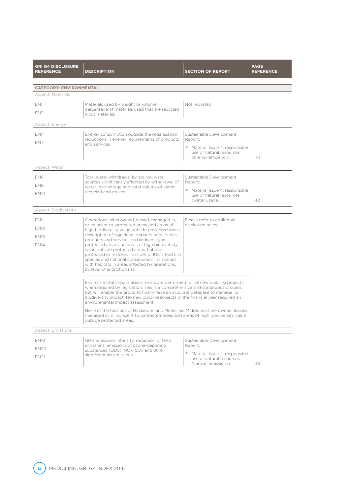| <b>GRI G4 DISCLOSURE</b><br><b>REFERENCE</b> | <b>DESCRIPTION</b>                                                                                                                                                                                                                                                                                                                                                   | <b>SECTION OF REPORT</b>                                                           | <b>PAGE</b><br><b>REFERENCE</b> |  |  |
|----------------------------------------------|----------------------------------------------------------------------------------------------------------------------------------------------------------------------------------------------------------------------------------------------------------------------------------------------------------------------------------------------------------------------|------------------------------------------------------------------------------------|---------------------------------|--|--|
| <b>CATEGORY: ENVIRONMENTAL</b>               |                                                                                                                                                                                                                                                                                                                                                                      |                                                                                    |                                 |  |  |
| Aspect: Materials                            |                                                                                                                                                                                                                                                                                                                                                                      |                                                                                    |                                 |  |  |
| EN1                                          | Materials used by weight or volume;                                                                                                                                                                                                                                                                                                                                  | Not reported                                                                       |                                 |  |  |
| FN <sub>2</sub>                              | percentage of materials used that are recycled<br>input materials                                                                                                                                                                                                                                                                                                    |                                                                                    |                                 |  |  |
| Aspect: Energy                               |                                                                                                                                                                                                                                                                                                                                                                      |                                                                                    |                                 |  |  |
| EN4                                          | Energy consumption outside the organisation;                                                                                                                                                                                                                                                                                                                         | Sustainable Development                                                            |                                 |  |  |
| EN7                                          | reductions in energy requirements of products<br>and services                                                                                                                                                                                                                                                                                                        | Report:                                                                            |                                 |  |  |
|                                              |                                                                                                                                                                                                                                                                                                                                                                      | • Material Issue 4: responsible<br>use of natural resources<br>(energy efficiency) | 41                              |  |  |
| Aspect: Water                                |                                                                                                                                                                                                                                                                                                                                                                      |                                                                                    |                                 |  |  |
| EN8                                          | Total water withdrawal by source; water                                                                                                                                                                                                                                                                                                                              | Sustainable Development                                                            |                                 |  |  |
| EN9                                          | sources significantly affected by withdrawal of<br>water; percentage and total volume of water                                                                                                                                                                                                                                                                       | Report:                                                                            |                                 |  |  |
| EN <sub>10</sub>                             | recycled and reused                                                                                                                                                                                                                                                                                                                                                  | • Material Issue 4: responsible<br>use of natural resources                        |                                 |  |  |
|                                              |                                                                                                                                                                                                                                                                                                                                                                      | (water usage)                                                                      | 42                              |  |  |
| Aspect: Biodiversity                         |                                                                                                                                                                                                                                                                                                                                                                      |                                                                                    |                                 |  |  |
| <b>EN11</b>                                  | Operational sites owned, leased, managed in,                                                                                                                                                                                                                                                                                                                         | Please refer to additional                                                         |                                 |  |  |
| <b>EN12</b>                                  | or adjacent to, protected areas and areas of<br>high biodiversity value outside protected areas;                                                                                                                                                                                                                                                                     | disclosure below                                                                   |                                 |  |  |
| <b>EN13</b>                                  | description of significant impacts of activities,                                                                                                                                                                                                                                                                                                                    |                                                                                    |                                 |  |  |
| <b>EN14</b>                                  | products and services on biodiversity in<br>protected areas and areas of high biodiversity                                                                                                                                                                                                                                                                           |                                                                                    |                                 |  |  |
|                                              | value outside protected areas; habitats<br>protected or restored; number of IUCN Red List                                                                                                                                                                                                                                                                            |                                                                                    |                                 |  |  |
|                                              | species and national conservation list species                                                                                                                                                                                                                                                                                                                       |                                                                                    |                                 |  |  |
|                                              | with habitats in areas affected by operations,<br>by level of extinction risk                                                                                                                                                                                                                                                                                        |                                                                                    |                                 |  |  |
|                                              | Environmental impact assessments are performed for all new building projects<br>when required by legislation. This is a comprehensive and continuous process,<br>but will enable the group to finally have an accurate database to manage its<br>biodiversity impact. No new building projects in the financial year required an<br>environmental impact assessment. |                                                                                    |                                 |  |  |
|                                              | None of the facilities of Hirslanden and Mediclinic Middle East are owned, leased,<br>managed in, or adjacent to, protected areas and areas of high biodiversity value<br>outside protected areas.                                                                                                                                                                   |                                                                                    |                                 |  |  |
| <b>Aspect: Emissions</b>                     |                                                                                                                                                                                                                                                                                                                                                                      |                                                                                    |                                 |  |  |
| <b>EN19</b>                                  | GHG emissions intensity; reduction of GHG                                                                                                                                                                                                                                                                                                                            | Sustainable Development                                                            |                                 |  |  |
| <b>EN20</b>                                  | emissions; emissions of ozone-depleting<br>substances (ODS); NOx, SOx and other                                                                                                                                                                                                                                                                                      | Report:                                                                            |                                 |  |  |
| <b>EN21</b>                                  | significant air emissions                                                                                                                                                                                                                                                                                                                                            | • Material Issue 4: responsible<br>use of natural resources                        |                                 |  |  |
|                                              |                                                                                                                                                                                                                                                                                                                                                                      | (carbon emissions)                                                                 | 38                              |  |  |

12 MEDICLINIC GRI G4 INDEX 2016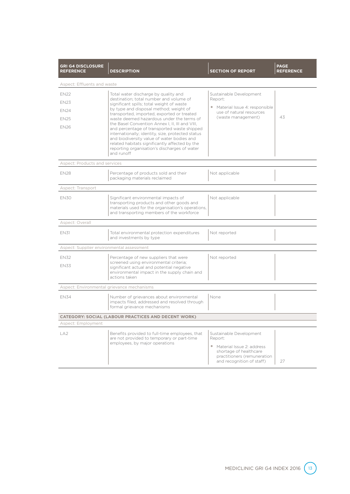| <b>GRI G4 DISCLOSURE</b><br><b>REFERENCE</b> | <b>DESCRIPTION</b>                                                                                                                                                                                                                                                                                                                                                                                                                                                                                  | <b>SECTION OF REPORT</b>                                                                                                                                           | <b>PAGE</b><br><b>REFERENCE</b> |
|----------------------------------------------|-----------------------------------------------------------------------------------------------------------------------------------------------------------------------------------------------------------------------------------------------------------------------------------------------------------------------------------------------------------------------------------------------------------------------------------------------------------------------------------------------------|--------------------------------------------------------------------------------------------------------------------------------------------------------------------|---------------------------------|
| Aspect: Effluents and waste                  |                                                                                                                                                                                                                                                                                                                                                                                                                                                                                                     |                                                                                                                                                                    |                                 |
| <b>EN22</b><br><b>EN23</b>                   | Total water discharge by quality and<br>destination; total number and volume of                                                                                                                                                                                                                                                                                                                                                                                                                     | Sustainable Development<br>Report:                                                                                                                                 |                                 |
| <b>EN24</b><br><b>FN25</b><br><b>EN26</b>    | significant spills; total weight of waste<br>by type and disposal method; weight of<br>transported, imported, exported or treated<br>waste deemed hazardous under the terms of<br>the Basel Convention Annex I, II, III and VIII,<br>and percentage of transported waste shipped<br>internationally; identity, size, protected status<br>and biodiversity value of water bodies and<br>related habitats significantly affected by the<br>reporting organisation's discharges of water<br>and runoff | • Material Issue 4: responsible<br>use of natural resources<br>(waste management)                                                                                  | 43                              |
| Aspect: Products and services                |                                                                                                                                                                                                                                                                                                                                                                                                                                                                                                     |                                                                                                                                                                    |                                 |
| <b>EN28</b>                                  | Percentage of products sold and their<br>packaging materials reclaimed                                                                                                                                                                                                                                                                                                                                                                                                                              | Not applicable                                                                                                                                                     |                                 |
| Aspect: Transport                            |                                                                                                                                                                                                                                                                                                                                                                                                                                                                                                     |                                                                                                                                                                    |                                 |
| <b>EN30</b>                                  | Significant environmental impacts of<br>transporting products and other goods and<br>materials used for the organisation's operations,<br>and transporting members of the workforce                                                                                                                                                                                                                                                                                                                 | Not applicable                                                                                                                                                     |                                 |
| Aspect: Overall                              |                                                                                                                                                                                                                                                                                                                                                                                                                                                                                                     |                                                                                                                                                                    |                                 |
| <b>EN31</b>                                  | Total environmental protection expenditures<br>and investments by type                                                                                                                                                                                                                                                                                                                                                                                                                              | Not reported                                                                                                                                                       |                                 |
| Aspect: Supplier environmental assessment    |                                                                                                                                                                                                                                                                                                                                                                                                                                                                                                     |                                                                                                                                                                    |                                 |
| <b>EN32</b><br><b>EN33</b>                   | Percentage of new suppliers that were<br>screened using environmental criteria;<br>significant actual and potential negative<br>environmental impact in the supply chain and<br>actions taken                                                                                                                                                                                                                                                                                                       | Not reported                                                                                                                                                       |                                 |
| Aspect: Environmental grievance mechanisms   |                                                                                                                                                                                                                                                                                                                                                                                                                                                                                                     |                                                                                                                                                                    |                                 |
| <b>EN34</b>                                  | Number of grievances about environmental<br>impacts filed, addressed and resolved through<br>formal grievance mechanisms                                                                                                                                                                                                                                                                                                                                                                            | None                                                                                                                                                               |                                 |
|                                              | <b>CATEGORY: SOCIAL (LABOUR PRACTICES AND DECENT WORK)</b>                                                                                                                                                                                                                                                                                                                                                                                                                                          |                                                                                                                                                                    |                                 |
| Aspect: Employment                           |                                                                                                                                                                                                                                                                                                                                                                                                                                                                                                     |                                                                                                                                                                    |                                 |
| LA <sub>2</sub>                              | Benefits provided to full-time employees, that<br>are not provided to temporary or part-time<br>employees, by major operations                                                                                                                                                                                                                                                                                                                                                                      | Sustainable Development<br>Report:<br>Material Issue 2: address<br>$\bullet$<br>shortage of healthcare<br>practitioners (remuneration<br>and recognition of staff) | 27                              |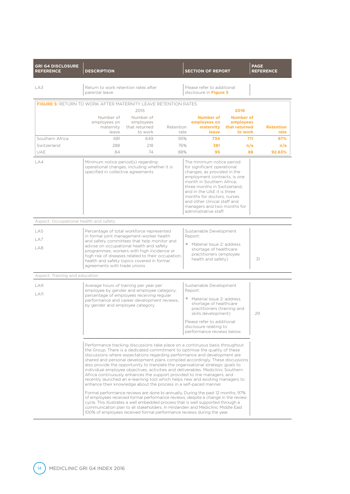| <b>GRI G4 DISCLOSURE</b><br><b>REFERENCE</b>                          | <b>DESCRIPTION</b>                                                                                                                                                                                                                                                                                                                                                                                                                                                                                                                                                                                                                                                                                                                                                                                                                                                                                                                                                                                                                                                                                                                                        |                                                                                                                                       |                   |         | <b>SECTION OF REPORT</b>                                                                                                                                                                                                                                                  |                                                             | <b>PAGE</b> | <b>REFERENCE</b>         |
|-----------------------------------------------------------------------|-----------------------------------------------------------------------------------------------------------------------------------------------------------------------------------------------------------------------------------------------------------------------------------------------------------------------------------------------------------------------------------------------------------------------------------------------------------------------------------------------------------------------------------------------------------------------------------------------------------------------------------------------------------------------------------------------------------------------------------------------------------------------------------------------------------------------------------------------------------------------------------------------------------------------------------------------------------------------------------------------------------------------------------------------------------------------------------------------------------------------------------------------------------|---------------------------------------------------------------------------------------------------------------------------------------|-------------------|---------|---------------------------------------------------------------------------------------------------------------------------------------------------------------------------------------------------------------------------------------------------------------------------|-------------------------------------------------------------|-------------|--------------------------|
| LA3                                                                   | Return to work retention rates after<br>parental leave                                                                                                                                                                                                                                                                                                                                                                                                                                                                                                                                                                                                                                                                                                                                                                                                                                                                                                                                                                                                                                                                                                    |                                                                                                                                       |                   |         | Please refer to additional<br>disclosure in Figure 5                                                                                                                                                                                                                      |                                                             |             |                          |
| <b>FIGURE 5:</b> RETURN TO WORK AFTER MATERNITY LEAVE RETENTION RATES |                                                                                                                                                                                                                                                                                                                                                                                                                                                                                                                                                                                                                                                                                                                                                                                                                                                                                                                                                                                                                                                                                                                                                           | 2015                                                                                                                                  |                   |         |                                                                                                                                                                                                                                                                           | 2016                                                        |             |                          |
|                                                                       | Number of<br>employees on<br>maternity<br>leave                                                                                                                                                                                                                                                                                                                                                                                                                                                                                                                                                                                                                                                                                                                                                                                                                                                                                                                                                                                                                                                                                                           | Number of<br>employees<br>that returned<br>to work                                                                                    | Retention<br>rate |         | <b>Number of</b><br>employees on<br>maternity<br>leave                                                                                                                                                                                                                    | <b>Number of</b><br>employees<br>that returned<br>to work   |             | <b>Retention</b><br>rate |
| Southern Africa                                                       | 681                                                                                                                                                                                                                                                                                                                                                                                                                                                                                                                                                                                                                                                                                                                                                                                                                                                                                                                                                                                                                                                                                                                                                       | 649                                                                                                                                   | 95%               |         | 734                                                                                                                                                                                                                                                                       |                                                             | 711         | 97%                      |
| Switzerland                                                           | 288                                                                                                                                                                                                                                                                                                                                                                                                                                                                                                                                                                                                                                                                                                                                                                                                                                                                                                                                                                                                                                                                                                                                                       | 218                                                                                                                                   | 76%               |         | 381                                                                                                                                                                                                                                                                       |                                                             | n/a         | n/a                      |
| UAE                                                                   | 84                                                                                                                                                                                                                                                                                                                                                                                                                                                                                                                                                                                                                                                                                                                                                                                                                                                                                                                                                                                                                                                                                                                                                        | 74                                                                                                                                    | 88%               |         | 95                                                                                                                                                                                                                                                                        |                                                             | 88          | 92.63%                   |
| LA4                                                                   | Minimum notice period(s) regarding<br>specified in collective agreements                                                                                                                                                                                                                                                                                                                                                                                                                                                                                                                                                                                                                                                                                                                                                                                                                                                                                                                                                                                                                                                                                  | operational changes, including whether it is                                                                                          |                   |         | The minimum notice period<br>for significant operational<br>changes, as provided in the<br>month in Southern Africa,<br>three months in Switzerland.<br>and in the UAE it is three<br>months for doctors, nurses<br>and other clinical staff and<br>administrative staff. | employment contracts, is one<br>managers and two months for |             |                          |
| Aspect: Occupational health and safety                                |                                                                                                                                                                                                                                                                                                                                                                                                                                                                                                                                                                                                                                                                                                                                                                                                                                                                                                                                                                                                                                                                                                                                                           |                                                                                                                                       |                   |         |                                                                                                                                                                                                                                                                           |                                                             |             |                          |
| LA5<br>LA7<br>LA8                                                     | Percentage of total workforce represented<br>in formal joint management-worker health<br>and safety committees that help monitor and<br>advise on occupational health and safety<br>programmes; workers with high incidence or<br>high risk of diseases related to their occupation;<br>health and safety topics covered in formal<br>agreements with trade unions                                                                                                                                                                                                                                                                                                                                                                                                                                                                                                                                                                                                                                                                                                                                                                                        |                                                                                                                                       |                   | Report: | Sustainable Development<br>• Material Issue 2: address<br>shortage of healthcare<br>practitioners (employee<br>health and safety)                                                                                                                                         |                                                             | 31          |                          |
| Aspect: Training and education                                        |                                                                                                                                                                                                                                                                                                                                                                                                                                                                                                                                                                                                                                                                                                                                                                                                                                                                                                                                                                                                                                                                                                                                                           |                                                                                                                                       |                   |         |                                                                                                                                                                                                                                                                           |                                                             |             |                          |
| LA9                                                                   |                                                                                                                                                                                                                                                                                                                                                                                                                                                                                                                                                                                                                                                                                                                                                                                                                                                                                                                                                                                                                                                                                                                                                           |                                                                                                                                       |                   |         | Sustainable Development                                                                                                                                                                                                                                                   |                                                             |             |                          |
| <b>LA11</b>                                                           | Average hours of training per year per<br>by gender and employee category                                                                                                                                                                                                                                                                                                                                                                                                                                                                                                                                                                                                                                                                                                                                                                                                                                                                                                                                                                                                                                                                                 | employee by gender and employee category;<br>percentage of employees receiving regular<br>performance and career development reviews, |                   | Report: | • Material Issue 2: address<br>shortage of healthcare<br>practitioners (training and<br>skills development)<br>Please refer to additional<br>disclosure relating to<br>performance reviews below.                                                                         |                                                             | 29          |                          |
|                                                                       | Performance tracking discussions take place on a continuous basis throughout<br>the Group. There is a dedicated commitment to optimise the quality of these<br>discussions where expectations regarding performance and development are<br>shared and personal development plans compiled accordingly. These discussions<br>also provide the opportunity to translate the organisational strategic goals to<br>individual employee objectives, activities and deliverables. Mediclinic Southern<br>Africa continuously enhances the support provided to line managers, and<br>recently launched an e-learning tool which helps new and existing managers to<br>enhance their knowledge about the process in a self-paced manner.<br>Formal performance reviews are done bi-annually. During the past 12 months, 97%<br>of employees received formal performance reviews, despite a change in the review<br>cycle. This illustrates a well embedded process that is well supported through a<br>communication plan to all stakeholders. In Hirslanden and Mediclinic Middle East<br>100% of employees received formal performance reviews during the year. |                                                                                                                                       |                   |         |                                                                                                                                                                                                                                                                           |                                                             |             |                          |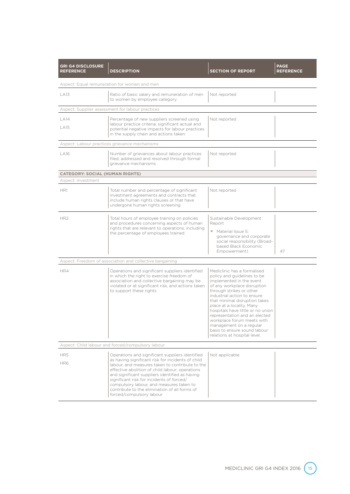| <b>GRI G4 DISCLOSURE</b><br><b>REFERENCE</b>      | <b>DESCRIPTION</b>                                                                                                                                                                                                                                                                                                                                                                                                                 | <b>SECTION OF REPORT</b>                                                                                                                                                                                                                                                                                                                                                                                                                      | <b>PAGE</b><br><b>REFERENCE</b> |  |  |  |
|---------------------------------------------------|------------------------------------------------------------------------------------------------------------------------------------------------------------------------------------------------------------------------------------------------------------------------------------------------------------------------------------------------------------------------------------------------------------------------------------|-----------------------------------------------------------------------------------------------------------------------------------------------------------------------------------------------------------------------------------------------------------------------------------------------------------------------------------------------------------------------------------------------------------------------------------------------|---------------------------------|--|--|--|
| Aspect: Equal remuneration for women and men      |                                                                                                                                                                                                                                                                                                                                                                                                                                    |                                                                                                                                                                                                                                                                                                                                                                                                                                               |                                 |  |  |  |
| LA13                                              | Ratio of basic salary and remuneration of men<br>to women by employee category                                                                                                                                                                                                                                                                                                                                                     | Not reported                                                                                                                                                                                                                                                                                                                                                                                                                                  |                                 |  |  |  |
|                                                   | Aspect: Supplier assessment for labour practices                                                                                                                                                                                                                                                                                                                                                                                   |                                                                                                                                                                                                                                                                                                                                                                                                                                               |                                 |  |  |  |
| <b>LA14</b><br><b>LA15</b>                        | Percentage of new suppliers screened using<br>labour practice criteria; significant actual and<br>potential negative impacts for labour practices<br>in the supply chain and actions taken                                                                                                                                                                                                                                         | Not reported                                                                                                                                                                                                                                                                                                                                                                                                                                  |                                 |  |  |  |
|                                                   | Aspect: Labour practices grievance mechanisms                                                                                                                                                                                                                                                                                                                                                                                      |                                                                                                                                                                                                                                                                                                                                                                                                                                               |                                 |  |  |  |
| LA16                                              | Number of grievances about labour practices<br>filed, addressed and resolved through formal<br>grievance mechanisms                                                                                                                                                                                                                                                                                                                | Not reported                                                                                                                                                                                                                                                                                                                                                                                                                                  |                                 |  |  |  |
| <b>CATEGORY: SOCIAL (HUMAN RIGHTS)</b>            |                                                                                                                                                                                                                                                                                                                                                                                                                                    |                                                                                                                                                                                                                                                                                                                                                                                                                                               |                                 |  |  |  |
| Aspect: Investment                                |                                                                                                                                                                                                                                                                                                                                                                                                                                    |                                                                                                                                                                                                                                                                                                                                                                                                                                               |                                 |  |  |  |
| HR1                                               | Total number and percentage of significant<br>investment agreements and contracts that<br>include human rights clauses or that have<br>undergone human rights screening                                                                                                                                                                                                                                                            | Not reported                                                                                                                                                                                                                                                                                                                                                                                                                                  |                                 |  |  |  |
| HR <sub>2</sub>                                   | Total hours of employee training on policies<br>and procedures concerning aspects of human<br>rights that are relevant to operations, including<br>the percentage of employees trained                                                                                                                                                                                                                                             | Sustainable Development<br>Report<br>• Material Issue 5:<br>governance and corporate<br>social responsibility (Broad-<br>based Black Economic<br>Empowerment)                                                                                                                                                                                                                                                                                 | 47                              |  |  |  |
|                                                   | Aspect: Freedom of association and collective bargaining                                                                                                                                                                                                                                                                                                                                                                           |                                                                                                                                                                                                                                                                                                                                                                                                                                               |                                 |  |  |  |
| HR4                                               | Operations and significant suppliers identified<br>in which the right to exercise freedom of<br>association and collective bargaining may be<br>violated or at significant risk, and actions taken<br>to support these rights                                                                                                                                                                                                      | Mediclinic has a formalised<br>policy and guidelines to be<br>implemented in the event<br>of any workplace disruption<br>through strikes or other<br>industrial action to ensure<br>that minimal disruption takes<br>place at a locality. Many<br>hospitals have little or no union<br>representation and an elected<br>workplace forum meets with<br>management on a regular<br>basis to ensure sound labour<br>relations at hospital level. |                                 |  |  |  |
| Aspect: Child labour and forced/compulsory labour |                                                                                                                                                                                                                                                                                                                                                                                                                                    |                                                                                                                                                                                                                                                                                                                                                                                                                                               |                                 |  |  |  |
| HR5<br>HR6                                        | Operations and significant suppliers identified<br>as having significant risk for incidents of child<br>labour, and measures taken to contribute to the<br>effective abolition of child labour: operations<br>and significant suppliers identified as having<br>significant risk for incidents of forced/<br>compulsory labour, and measures taken to<br>contribute to the elimination of all forms of<br>forced/compulsory labour | Not applicable                                                                                                                                                                                                                                                                                                                                                                                                                                |                                 |  |  |  |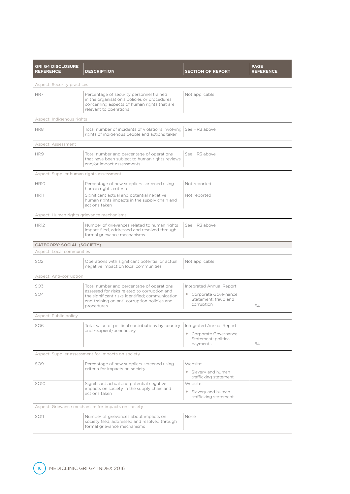| <b>GRI G4 DISCLOSURE</b><br><b>REFERENCE</b> | <b>DESCRIPTION</b>                                                                                                                                                                                         | <b>SECTION OF REPORT</b>                                                                  | <b>PAGE</b><br><b>REFERENCE</b> |  |  |
|----------------------------------------------|------------------------------------------------------------------------------------------------------------------------------------------------------------------------------------------------------------|-------------------------------------------------------------------------------------------|---------------------------------|--|--|
| <b>Aspect: Security practices</b>            |                                                                                                                                                                                                            |                                                                                           |                                 |  |  |
| HR7                                          | Percentage of security personnel trained<br>in the organisation's policies or procedures<br>concerning aspects of human rights that are<br>relevant to operations                                          | Not applicable                                                                            |                                 |  |  |
| Aspect: Indigenous rights                    |                                                                                                                                                                                                            |                                                                                           |                                 |  |  |
| HR8                                          | Total number of incidents of violations involving I<br>rights of indigenous people and actions taken                                                                                                       | See HR3 above                                                                             |                                 |  |  |
| Aspect: Assessment                           |                                                                                                                                                                                                            |                                                                                           |                                 |  |  |
| HR9                                          | Total number and percentage of operations<br>that have been subject to human rights reviews<br>and/or impact assessments                                                                                   | See HR3 above                                                                             |                                 |  |  |
| Aspect: Supplier human rights assessment     |                                                                                                                                                                                                            |                                                                                           |                                 |  |  |
| <b>HR10</b>                                  | Percentage of new suppliers screened using<br>human rights criteria                                                                                                                                        | Not reported                                                                              |                                 |  |  |
| <b>HR11</b>                                  | Significant actual and potential negative<br>human rights impacts in the supply chain and<br>actions taken                                                                                                 | Not reported                                                                              |                                 |  |  |
| Aspect: Human rights grievance mechanisms    |                                                                                                                                                                                                            |                                                                                           |                                 |  |  |
| <b>HR12</b>                                  | Number of grievances related to human rights<br>impact filed, addressed and resolved through<br>formal grievance mechanisms                                                                                | See HR3 above                                                                             |                                 |  |  |
| <b>CATEGORY: SOCIAL (SOCIETY)</b>            |                                                                                                                                                                                                            |                                                                                           |                                 |  |  |
| Aspect: Local communities                    |                                                                                                                                                                                                            |                                                                                           |                                 |  |  |
| SO <sub>2</sub>                              | Operations with significant potential or actual<br>negative impact on local communities                                                                                                                    | Not applicable                                                                            |                                 |  |  |
| Aspect: Anti-corruption                      |                                                                                                                                                                                                            |                                                                                           |                                 |  |  |
| SO <sub>3</sub><br>SO <sub>4</sub>           | Total number and percentage of operations<br>assessed for risks related to corruption and<br>the significant risks identified; communication<br>and training on anti-corruption policies and<br>procedures | Integrated Annual Report:<br>• Corporate Governance<br>Statement: fraud and<br>corruption | 64                              |  |  |
| Aspect: Public policy                        |                                                                                                                                                                                                            |                                                                                           |                                 |  |  |
| SO <sub>6</sub>                              | Total value of political contributions by country<br>and recipient/beneficiary                                                                                                                             | Integrated Annual Report:<br>• Corporate Governance<br>Statement: political<br>payments   | 64                              |  |  |
|                                              | Aspect: Supplier assessment for impacts on society                                                                                                                                                         |                                                                                           |                                 |  |  |
| SO <sub>9</sub>                              | Percentage of new suppliers screened using<br>criteria for impacts on society                                                                                                                              | Website:<br>• Slavery and human<br>trafficking statement                                  |                                 |  |  |
| SO10                                         | Significant actual and potential negative<br>impacts on society in the supply chain and<br>actions taken                                                                                                   | Website:<br>• Slavery and human<br>trafficking statement                                  |                                 |  |  |
|                                              | Aspect: Grievance mechanism for impacts on society                                                                                                                                                         |                                                                                           |                                 |  |  |
| SO11                                         | Number of grievances about impacts on<br>society filed, addressed and resolved through<br>formal grievance mechanisms                                                                                      | None                                                                                      |                                 |  |  |